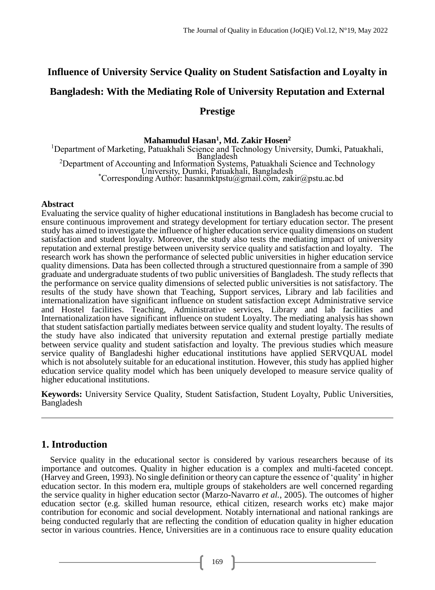# **Influence of University Service Quality on Student Satisfaction and Loyalty in Bangladesh: With the Mediating Role of University Reputation and External Prestige**

# **Mahamudul Hasan<sup>1</sup> , Md. Zakir Hosen<sup>2</sup>**

<sup>1</sup>Department of Marketing, Patuakhali Science and Technology University, Dumki, Patuakhali, Bangladesh <sup>2</sup>Department of Accounting and Information Systems, Patuakhali Science and Technology University, Dumki, Patuakhali, Bangladesh \*Corresponding Author: hasanmktpstu@gmail.com, zakir@pstu.ac.bd

# **Abstract**

Evaluating the service quality of higher educational institutions in Bangladesh has become crucial to ensure continuous improvement and strategy development for tertiary education sector. The present study has aimed to investigate the influence of higher education service quality dimensions on student satisfaction and student loyalty. Moreover, the study also tests the mediating impact of university reputation and external prestige between university service quality and satisfaction and loyalty. The research work has shown the performance of selected public universities in higher education service quality dimensions. Data has been collected through a structured questionnaire from a sample of 390 graduate and undergraduate students of two public universities of Bangladesh. The study reflects that the performance on service quality dimensions of selected public universities is not satisfactory. The results of the study have shown that Teaching, Support services, Library and lab facilities and internationalization have significant influence on student satisfaction except Administrative service and Hostel facilities. Teaching, Administrative services, Library and lab facilities and Internationalization have significant influence on student Loyalty. The mediating analysis has shown that student satisfaction partially mediates between service quality and student loyalty. The results of the study have also indicated that university reputation and external prestige partially mediate between service quality and student satisfaction and loyalty. The previous studies which measure service quality of Bangladeshi higher educational institutions have applied SERVQUAL model which is not absolutely suitable for an educational institution. However, this study has applied higher education service quality model which has been uniquely developed to measure service quality of higher educational institutions.

**Keywords:** University Service Quality, Student Satisfaction, Student Loyalty, Public Universities, Bangladesh

# **1. Introduction**

Service quality in the educational sector is considered by various researchers because of its importance and outcomes. Quality in higher education is a complex and multi-faceted concept. (Harvey and Green, 1993). No single definition or theory can capture the essence of 'quality' in higher education sector. In this modern era, multiple groups of stakeholders are well concerned regarding the service quality in higher education sector (Marzo-Navarro *et al.*, 2005). The outcomes of higher education sector (e.g. skilled human resource, ethical citizen, research works etc) make major contribution for economic and social development. Notably international and national rankings are being conducted regularly that are reflecting the condition of education quality in higher education sector in various countries. Hence, Universities are in a continuous race to ensure quality education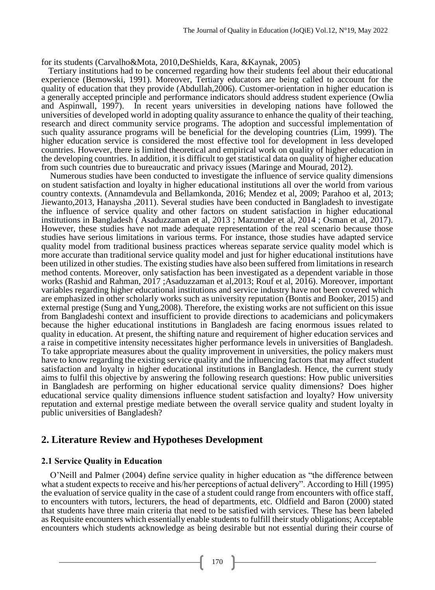for its students (Carvalho&Mota, 2010,DeShields, Kara, &Kaynak, 2005)

 Tertiary institutions had to be concerned regarding how their students feel about their educational experience (Bemowski, 1991). Moreover, Tertiary educators are being called to account for the quality of education that they provide (Abdullah,2006). Customer-orientation in higher education is a generally accepted principle and performance indicators should address student experience (Owlia and Aspinwall, 1997). In recent years universities in developing nations have followed the universities of developed world in adopting quality assurance to enhance the quality of their teaching, research and direct community service programs. The adoption and successful implementation of such quality assurance programs will be beneficial for the developing countries (Lim, 1999). The higher education service is considered the most effective tool for development in less developed countries. However, there is limited theoretical and empirical work on quality of higher education in the developing countries. In addition, it is difficult to get statistical data on quality of higher education from such countries due to bureaucratic and privacy issues (Maringe and Mourad, 2012).

Numerous studies have been conducted to investigate the influence of service quality dimensions on student satisfaction and loyalty in higher educational institutions all over the world from various country contexts. (Annamdevula and Bellamkonda, 2016; Mendez et al, 2009; Parahoo et al, 2013; Jiewanto,2013, Hanaysha ,2011). Several studies have been conducted in Bangladesh to investigate the influence of service quality and other factors on student satisfaction in higher educational institutions in Bangladesh ( Asaduzzaman et al, 2013 ; Mazumder et al, 2014 ; Osman et al, 2017). However, these studies have not made adequate representation of the real scenario because those studies have serious limitations in various terms. For instance, those studies have adapted service quality model from traditional business practices whereas separate service quality model which is more accurate than traditional service quality model and just for higher educational institutions have been utilized in other studies. The existing studies have also been suffered from limitations in research method contents. Moreover, only satisfaction has been investigated as a dependent variable in those works (Rashid and Rahman, 2017 ;Asaduzzaman et al,2013; Rouf et al, 2016). Moreover, important variables regarding higher educational institutions and service industry have not been covered which are emphasized in other scholarly works such as university reputation (Bontis and Booker, 2015) and external prestige (Sung and Yung,2008). Therefore, the existing works are not sufficient on this issue from Bangladeshi context and insufficient to provide directions to academicians and policymakers because the higher educational institutions in Bangladesh are facing enormous issues related to quality in education. At present, the shifting nature and requirement of higher education services and a raise in competitive intensity necessitates higher performance levels in universities of Bangladesh. To take appropriate measures about the quality improvement in universities, the policy makers must have to know regarding the existing service quality and the influencing factors that may affect student satisfaction and loyalty in higher educational institutions in Bangladesh. Hence, the current study aims to fulfil this objective by answering the following research questions: How public universities in Bangladesh are performing on higher educational service quality dimensions? Does higher educational service quality dimensions influence student satisfaction and loyalty? How university reputation and external prestige mediate between the overall service quality and student loyalty in public universities of Bangladesh?

# **2. Literature Review and Hypotheses Development**

# **2.1 Service Quality in Education**

O'Neill and Palmer (2004) define service quality in higher education as "the difference between what a student expects to receive and his/her perceptions of actual delivery". According to Hill (1995) the evaluation of service quality in the case of a student could range from encounters with office staff, to encounters with tutors, lecturers, the head of departments, etc. Oldfield and Baron (2000) stated that students have three main criteria that need to be satisfied with services. These has been labeled as Requisite encounters which essentially enable students to fulfill their study obligations; Acceptable encounters which students acknowledge as being desirable but not essential during their course of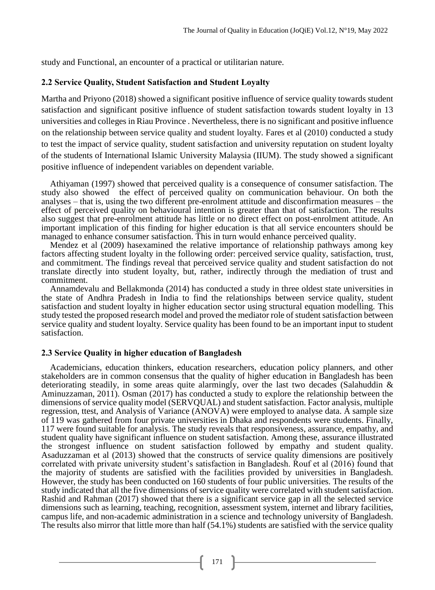study and Functional, an encounter of a practical or utilitarian nature.

### **2.2 Service Quality, Student Satisfaction and Student Loyalty**

Martha and Priyono (2018) showed a significant positive influence of service quality towards student satisfaction and significant positive influence of student satisfaction towards student loyalty in 13 universities and colleges in Riau Province . Nevertheless, there is no significant and positive influence on the relationship between service quality and student loyalty. Fares et al (2010) conducted a study to test the impact of service quality, student satisfaction and university reputation on student loyalty of the students of International Islamic University Malaysia (IIUM). The study showed a significant positive influence of independent variables on dependent variable.

Athiyaman (1997) showed that perceived quality is a consequence of consumer satisfaction. The study also showed the effect of perceived quality on communication behaviour. On both the analyses – that is, using the two different pre-enrolment attitude and disconfirmation measures – the effect of perceived quality on behavioural intention is greater than that of satisfaction. The results also suggest that pre-enrolment attitude has little or no direct effect on post-enrolment attitude. An important implication of this finding for higher education is that all service encounters should be managed to enhance consumer satisfaction. This in turn would enhance perceived quality.

Mendez et al (2009) hasexamined the relative importance of relationship pathways among key factors affecting student loyalty in the following order: perceived service quality, satisfaction, trust, and commitment. The findings reveal that perceived service quality and student satisfaction do not translate directly into student loyalty, but, rather, indirectly through the mediation of trust and commitment.

Annamdevalu and Bellakmonda (2014) has conducted a study in three oldest state universities in the state of Andhra Pradesh in India to find the relationships between service quality, student satisfaction and student loyalty in higher education sector using structural equation modelling. This study tested the proposed research model and proved the mediator role of student satisfaction between service quality and student loyalty. Service quality has been found to be an important input to student satisfaction.

### **2.3 Service Quality in higher education of Bangladesh**

Academicians, education thinkers, education researchers, education policy planners, and other stakeholders are in common consensus that the quality of higher education in Bangladesh has been deteriorating steadily, in some areas quite alarmingly, over the last two decades (Salahuddin & Aminuzzaman, 2011). Osman (2017) has conducted a study to explore the relationship between the dimensions of service quality model (SERVQUAL) and student satisfaction. Factor analysis, multiple regression, ttest, and Analysis of Variance (ANOVA) were employed to analyse data. A sample size of 119 was gathered from four private universities in Dhaka and respondents were students. Finally, 117 were found suitable for analysis. The study reveals that responsiveness, assurance, empathy, and student quality have significant influence on student satisfaction. Among these, assurance illustrated the strongest influence on student satisfaction followed by empathy and student quality. Asaduzzaman et al (2013) showed that the constructs of service quality dimensions are positively correlated with private university student's satisfaction in Bangladesh. Rouf et al (2016) found that the majority of students are satisfied with the facilities provided by universities in Bangladesh. However, the study has been conducted on 160 students of four public universities. The results of the study indicated that all the five dimensions of service quality were correlated with student satisfaction. Rashid and Rahman (2017) showed that there is a significant service gap in all the selected service dimensions such as learning, teaching, recognition, assessment system, internet and library facilities, campus life, and non-academic administration in a science and technology university of Bangladesh. The results also mirror that little more than half (54.1%) students are satisfied with the service quality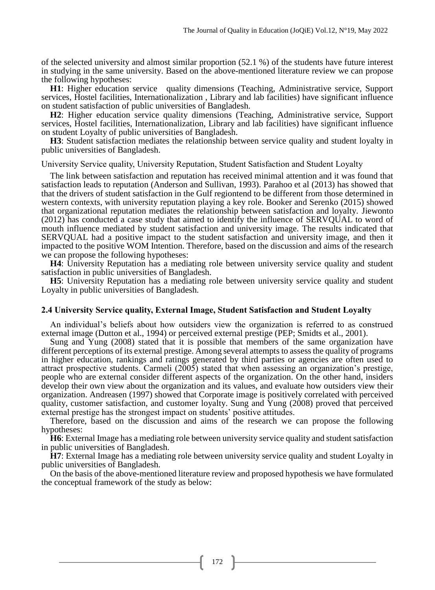of the selected university and almost similar proportion (52.1 %) of the students have future interest in studying in the same university. Based on the above-mentioned literature review we can propose the following hypotheses:

**H1**: Higher education service quality dimensions (Teaching, Administrative service, Support services, Hostel facilities, Internationalization , Library and lab facilities) have significant influence on student satisfaction of public universities of Bangladesh.

**H2**: Higher education service quality dimensions (Teaching, Administrative service, Support services, Hostel facilities, Internationalization, Library and lab facilities) have significant influence on student Loyalty of public universities of Bangladesh.

**H3**: Student satisfaction mediates the relationship between service quality and student loyalty in public universities of Bangladesh.

University Service quality, University Reputation, Student Satisfaction and Student Loyalty

The link between satisfaction and reputation has received minimal attention and it was found that satisfaction leads to reputation (Anderson and Sullivan, 1993). Parahoo et al (2013) has showed that that the drivers of student satisfaction in the Gulf regiontend to be different from those determined in western contexts, with university reputation playing a key role. Booker and Serenko (2015) showed that organizational reputation mediates the relationship between satisfaction and loyalty. Jiewonto (2012) has conducted a case study that aimed to identify the influence of SERVQUAL to word of mouth influence mediated by student satisfaction and university image. The results indicated that SERVQUAL had a positive impact to the student satisfaction and university image, and then it impacted to the positive WOM Intention. Therefore, based on the discussion and aims of the research we can propose the following hypotheses:

**H4**: University Reputation has a mediating role between university service quality and student satisfaction in public universities of Bangladesh.

**H5**: University Reputation has a mediating role between university service quality and student Loyalty in public universities of Bangladesh.

### **2.4 University Service quality, External Image, Student Satisfaction and Student Loyalty**

An individual's beliefs about how outsiders view the organization is referred to as construed external image (Dutton et al., 1994) or perceived external prestige (PEP; Smidts et al., 2001).

Sung and Yung (2008) stated that it is possible that members of the same organization have different perceptions of its external prestige. Among several attempts to assess the quality of programs in higher education, rankings and ratings generated by third parties or agencies are often used to attract prospective students. Carmeli (2005) stated that when assessing an organization's prestige, people who are external consider different aspects of the organization. On the other hand, insiders develop their own view about the organization and its values, and evaluate how outsiders view their organization. Andreasen (1997) showed that Corporate image is positively correlated with perceived quality, customer satisfaction, and customer loyalty. Sung and Yung  $(2008)$  proved that perceived external prestige has the strongest impact on students' positive attitudes.

Therefore, based on the discussion and aims of the research we can propose the following hypotheses:

**H6**: External Image has a mediating role between university service quality and student satisfaction in public universities of Bangladesh.

**H7**: External Image has a mediating role between university service quality and student Loyalty in public universities of Bangladesh.

On the basis of the above-mentioned literature review and proposed hypothesis we have formulated the conceptual framework of the study as below: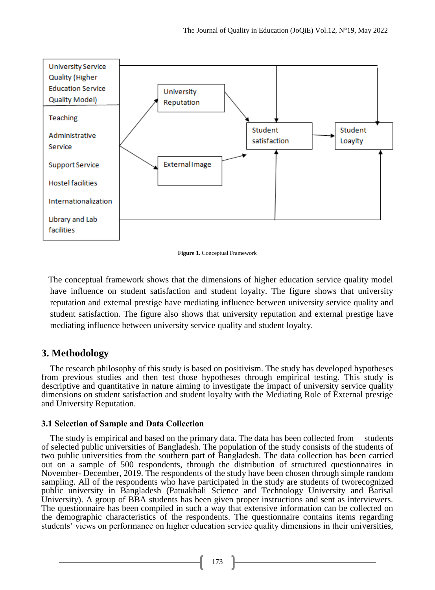

**Figure 1.** Conceptual Framework

 The conceptual framework shows that the dimensions of higher education service quality model have influence on student satisfaction and student loyalty. The figure shows that university reputation and external prestige have mediating influence between university service quality and student satisfaction. The figure also shows that university reputation and external prestige have mediating influence between university service quality and student loyalty.

# **3. Methodology**

The research philosophy of this study is based on positivism. The study has developed hypotheses from previous studies and then test those hypotheses through empirical testing. This study is descriptive and quantitative in nature aiming to investigate the impact of university service quality dimensions on student satisfaction and student loyalty with the Mediating Role of External prestige and University Reputation.

# **3.1 Selection of Sample and Data Collection**

The study is empirical and based on the primary data. The data has been collected from students of selected public universities of Bangladesh. The population of the study consists of the students of two public universities from the southern part of Bangladesh. The data collection has been carried out on a sample of 500 respondents, through the distribution of structured questionnaires in November- December, 2019. The respondents of the study have been chosen through simple random sampling. All of the respondents who have participated in the study are students of tworecognized public university in Bangladesh (Patuakhali Science and Technology University and Barisal University). A group of BBA students has been given proper instructions and sent as interviewers. The questionnaire has been compiled in such a way that extensive information can be collected on the demographic characteristics of the respondents. The questionnaire contains items regarding students' views on performance on higher education service quality dimensions in their universities,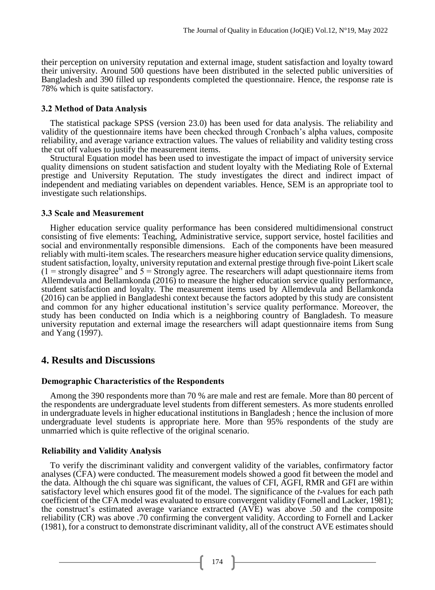their perception on university reputation and external image, student satisfaction and loyalty toward their university. Around 500 questions have been distributed in the selected public universities of Bangladesh and 390 filled up respondents completed the questionnaire. Hence, the response rate is 78% which is quite satisfactory.

# **3.2 Method of Data Analysis**

The statistical package SPSS (version 23.0) has been used for data analysis. The reliability and validity of the questionnaire items have been checked through Cronbach's alpha values, composite reliability, and average variance extraction values. The values of reliability and validity testing cross the cut off values to justify the measurement items.

Structural Equation model has been used to investigate the impact of impact of university service quality dimensions on student satisfaction and student loyalty with the Mediating Role of External prestige and University Reputation. The study investigates the direct and indirect impact of independent and mediating variables on dependent variables. Hence, SEM is an appropriate tool to investigate such relationships.

# **3.3 Scale and Measurement**

Higher education service quality performance has been considered multidimensional construct consisting of five elements: Teaching, Administrative service, support service, hostel facilities and social and environmentally responsible dimensions. Each of the components have been measured reliably with multi-item scales. The researchers measure higher education service quality dimensions, student satisfaction, loyalty, university reputation and external prestige through five-point Likert scale  $(1 =$  strongly disagree" and  $5 =$  Strongly agree. The researchers will adapt questionnaire items from Allemdevula and Bellamkonda (2016) to measure the higher education service quality performance, student satisfaction and loyalty. The measurement items used by Allemdevula and Bellamkonda (2016) can be applied in Bangladeshi context because the factors adopted by this study are consistent and common for any higher educational institution's service quality performance. Moreover, the study has been conducted on India which is a neighboring country of Bangladesh. To measure university reputation and external image the researchers will adapt questionnaire items from Sung and Yang (1997).

# **4. Results and Discussions**

# **Demographic Characteristics of the Respondents**

Among the 390 respondents more than 70 % are male and rest are female. More than 80 percent of the respondents are undergraduate level students from different semesters. As more students enrolled in undergraduate levels in higher educational institutions in Bangladesh ; hence the inclusion of more undergraduate level students is appropriate here. More than 95% respondents of the study are unmarried which is quite reflective of the original scenario.

# **Reliability and Validity Analysis**

To verify the discriminant validity and convergent validity of the variables, confirmatory factor analyses (CFA) were conducted. The measurement models showed a good fit between the model and the data. Although the chi square was significant, the values of CFI, AGFI, RMR and GFI are within satisfactory level which ensures good fit of the model. The significance of the *t*-values for each path coefficient of the CFA model was evaluated to ensure convergent validity (Fornell and Lacker, 1981); the construct's estimated average variance extracted (AVE) was above .50 and the composite reliability (CR) was above .70 confirming the convergent validity. According to Fornell and Lacker (1981), for a construct to demonstrate discriminant validity, all of the construct AVE estimates should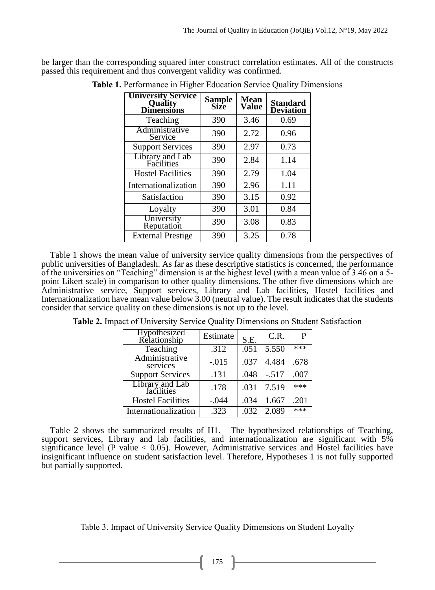be larger than the corresponding squared inter construct correlation estimates. All of the constructs passed this requirement and thus convergent validity was confirmed.

| <b>University Service</b><br>Quality<br><b>Dimensions</b> | Sample<br>Size | <b>Mean</b><br><b>Value</b> | <b>Standard</b><br><b>Deviation</b> |
|-----------------------------------------------------------|----------------|-----------------------------|-------------------------------------|
| Teaching                                                  | 390            | 3.46                        | 0.69                                |
| Administrative<br>Service                                 | 390            | 2.72                        | 0.96                                |
| <b>Support Services</b>                                   | 390            | 2.97                        | 0.73                                |
| Library and Lab<br>Facilities                             | 390            | 2.84                        | 1.14                                |
| <b>Hostel Facilities</b>                                  | 390            | 2.79                        | 1.04                                |
| Internationalization                                      | 390            | 2.96                        | 1.11                                |
| Satisfaction                                              | 390            | 3.15                        | 0.92                                |
| Loyalty                                                   | 390            | 3.01                        | 0.84                                |
| University<br>Reputation                                  | 390            | 3.08                        | 0.83                                |
| <b>External Prestige</b>                                  | 390            | 3.25                        | 0.78                                |

**Table 1.** Performance in Higher Education Service Quality Dimensions

Table 1 shows the mean value of university service quality dimensions from the perspectives of public universities of Bangladesh. As far as these descriptive statistics is concerned, the performance of the universities on "Teaching" dimension is at the highest level (with a mean value of 3.46 on a 5 point Likert scale) in comparison to other quality dimensions. The other five dimensions which are Administrative service, Support services, Library and Lab facilities, Hostel facilities and Internationalization have mean value below 3.00 (neutral value). The result indicates that the students consider that service quality on these dimensions is not up to the level.

| Hypothesized<br>Relationship  | Estimate | S.E. | C.R.    |       |
|-------------------------------|----------|------|---------|-------|
| Teaching                      | .312     | .051 | 5.550   | ***   |
| Administrative<br>services    | $-.015$  | .037 | 4.484   | .678  |
| <b>Support Services</b>       | .131     | .048 | $-.517$ | .007  |
| Library and Lab<br>facilities | .178     | .031 | 7.519   | ***   |
| <b>Hostel Facilities</b>      | $-.044$  | .034 | 1.667   | .201  |
| Internationalization          | .323     | .032 | 2.089   | $***$ |

**Table 2.** Impact of University Service Quality Dimensions on Student Satisfaction

Table 2 shows the summarized results of H1. The hypothesized relationships of Teaching, support services, Library and lab facilities, and internationalization are significant with 5% significance level (P value  $< 0.05$ ). However, Administrative services and Hostel facilities have insignificant influence on student satisfaction level. Therefore, Hypotheses 1 is not fully supported but partially supported.

Table 3. Impact of University Service Quality Dimensions on Student Loyalty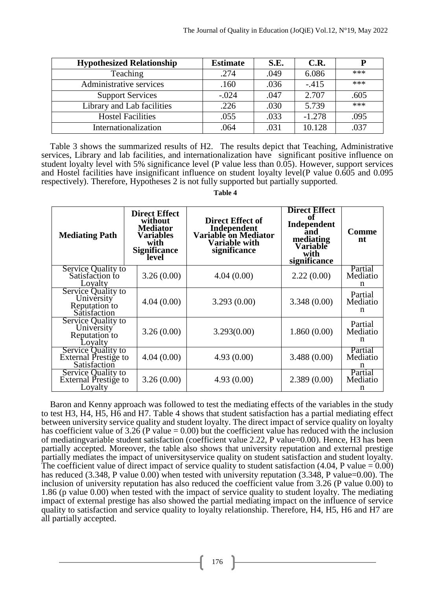| <b>Hypothesized Relationship</b> | <b>Estimate</b> | S.E. | C.R.     | P    |
|----------------------------------|-----------------|------|----------|------|
| Teaching                         | .274            | .049 | 6.086    | ***  |
| Administrative services          | .160            | .036 | $-.415$  | ***  |
| <b>Support Services</b>          | $-.024$         | .047 | 2.707    | .605 |
| Library and Lab facilities       | .226            | .030 | 5.739    | ***  |
| <b>Hostel Facilities</b>         | .055            | .033 | $-1.278$ | .095 |
| Internationalization             | .064            | .031 | 10.128   | .037 |

Table 3 shows the summarized results of H2. The results depict that Teaching, Administrative services, Library and lab facilities, and internationalization have significant positive influence on student loyalty level with 5% significance level (P value less than 0.05). However, support services and Hostel facilities have insignificant influence on student loyalty level(P value 0.605 and 0.095 respectively). Therefore, Hypotheses 2 is not fully supported but partially supported.

*Table 4* 

| <b>Mediating Path</b>                                             | <b>Direct Effect</b><br>without<br><b>Mediator</b><br><b>Variables</b><br>with<br><b>Significance</b><br>level | <b>Direct Effect of</b><br>Independent<br>Variable on Mediator<br><b>Variable with</b><br>significance | <b>Direct Effect</b><br>оť<br>Independent<br>and<br>mediating<br>Variable<br>with<br>significance | <b>Comme</b><br>nt       |
|-------------------------------------------------------------------|----------------------------------------------------------------------------------------------------------------|--------------------------------------------------------------------------------------------------------|---------------------------------------------------------------------------------------------------|--------------------------|
| Service Quality to<br>Satisfaction to<br>Lovalty                  | 3.26(0.00)                                                                                                     | 4.04(0.00)                                                                                             | 2.22(0.00)                                                                                        | Partial<br>Mediatio<br>n |
| Service Quality to<br>University<br>Reputation to<br>Satisfaction | 4.04(0.00)                                                                                                     | 3.293(0.00)                                                                                            | 3.348(0.00)                                                                                       | Partial<br>Mediatio<br>n |
| Service Quality to<br>University<br>Reputation to<br>Loyalty      | 3.26(0.00)                                                                                                     | 3.293(0.00)                                                                                            | 1.860(0.00)                                                                                       | Partial<br>Mediatio<br>n |
| Service Quality to<br>External Prestige to<br>Satisfaction        | 4.04(0.00)                                                                                                     | 4.93(0.00)                                                                                             | 3.488(0.00)                                                                                       | Partial<br>Mediatio<br>n |
| Service Quality to<br>External Prestige to<br>Loyalty             | 3.26(0.00)                                                                                                     | 4.93(0.00)                                                                                             | 2.389(0.00)                                                                                       | Partial<br>Mediatio<br>n |

Baron and Kenny approach was followed to test the mediating effects of the variables in the study to test H3, H4, H5, H6 and H7. Table 4 shows that student satisfaction has a partial mediating effect between university service quality and student loyalty. The direct impact of service quality on loyalty has coefficient value of 3.26 (P value  $= 0.00$ ) but the coefficient value has reduced with the inclusion of mediatingvariable student satisfaction (coefficient value 2.22, P value=0.00). Hence, H3 has been partially accepted. Moreover, the table also shows that university reputation and external prestige partially mediates the impact of universityservice quality on student satisfaction and student loyalty. The coefficient value of direct impact of service quality to student satisfaction  $(4.04, P$  value  $= 0.00)$ has reduced (3.348, P value 0.00) when tested with university reputation (3.348, P value=0.00). The inclusion of university reputation has also reduced the coefficient value from 3.26 (P value 0.00) to 1.86 (p value 0.00) when tested with the impact of service quality to student loyalty. The mediating impact of external prestige has also showed the partial mediating impact on the influence of service quality to satisfaction and service quality to loyalty relationship. Therefore, H4, H5, H6 and H7 are all partially accepted.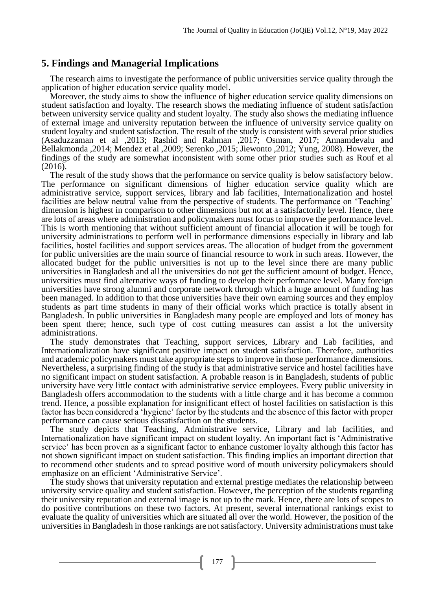# **5. Findings and Managerial Implications**

The research aims to investigate the performance of public universities service quality through the application of higher education service quality model.

Moreover, the study aims to show the influence of higher education service quality dimensions on student satisfaction and loyalty. The research shows the mediating influence of student satisfaction between university service quality and student loyalty. The study also shows the mediating influence of external image and university reputation between the influence of university service quality on student loyalty and student satisfaction. The result of the study is consistent with several prior studies (Asaduzzaman et al ,2013; Rashid and Rahman ,2017; Osman, 2017; Annamdevalu and Bellakmonda ,2014; Mendez et al ,2009; Serenko ,2015; Jiewonto ,2012; Yung, 2008). However, the findings of the study are somewhat inconsistent with some other prior studies such as Rouf et al (2016).

The result of the study shows that the performance on service quality is below satisfactory below. The performance on significant dimensions of higher education service quality which are administrative service, support services, library and lab facilities, Internationalization and hostel facilities are below neutral value from the perspective of students. The performance on 'Teaching' dimension is highest in comparison to other dimensions but not at a satisfactorily level. Hence, there are lots of areas where administration and policymakers must focus to improve the performance level. This is worth mentioning that without sufficient amount of financial allocation it will be tough for university administrations to perform well in performance dimensions especially in library and lab facilities, hostel facilities and support services areas. The allocation of budget from the government for public universities are the main source of financial resource to work in such areas. However, the allocated budget for the public universities is not up to the level since there are many public universities in Bangladesh and all the universities do not get the sufficient amount of budget. Hence, universities must find alternative ways of funding to develop their performance level. Many foreign universities have strong alumni and corporate network through which a huge amount of funding has been managed. In addition to that those universities have their own earning sources and they employ students as part time students in many of their official works which practice is totally absent in Bangladesh. In public universities in Bangladesh many people are employed and lots of money has been spent there; hence, such type of cost cutting measures can assist a lot the university administrations.

The study demonstrates that Teaching, support services, Library and Lab facilities, and Internationalization have significant positive impact on student satisfaction. Therefore, authorities and academic policymakers must take appropriate steps to improve in those performance dimensions. Nevertheless, a surprising finding of the study is that administrative service and hostel facilities have no significant impact on student satisfaction. A probable reason is in Bangladesh, students of public university have very little contact with administrative service employees. Every public university in Bangladesh offers accommodation to the students with a little charge and it has become a common trend. Hence, a possible explanation for insignificant effect of hostel facilities on satisfaction is this factor has been considered a 'hygiene' factor by the students and the absence of this factor with proper performance can cause serious dissatisfaction on the students.

The study depicts that Teaching, Administrative service, Library and lab facilities, and Internationalization have significant impact on student loyalty. An important fact is 'Administrative service' has been proven as a significant factor to enhance customer loyalty although this factor has not shown significant impact on student satisfaction. This finding implies an important direction that to recommend other students and to spread positive word of mouth university policymakers should emphasize on an efficient 'Administrative Service'.

The study shows that university reputation and external prestige mediates the relationship between university service quality and student satisfaction. However, the perception of the students regarding their university reputation and external image is not up to the mark. Hence, there are lots of scopes to do positive contributions on these two factors. At present, several international rankings exist to evaluate the quality of universities which are situated all over the world. However, the position of the universities in Bangladesh in those rankings are not satisfactory. University administrations must take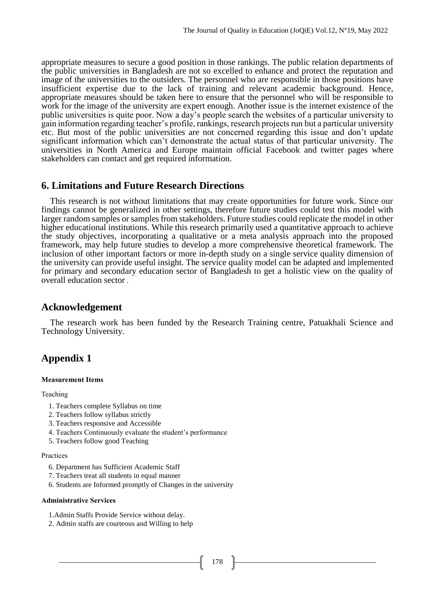appropriate measures to secure a good position in those rankings. The public relation departments of the public universities in Bangladesh are not so excelled to enhance and protect the reputation and image of the universities to the outsiders. The personnel who are responsible in those positions have insufficient expertise due to the lack of training and relevant academic background. Hence, appropriate measures should be taken here to ensure that the personnel who will be responsible to work for the image of the university are expert enough. Another issue is the internet existence of the public universities is quite poor. Now a day's people search the websites of a particular university to gain information regarding teacher's profile, rankings, research projects run but a particular university etc. But most of the public universities are not concerned regarding this issue and don't update significant information which can't demonstrate the actual status of that particular university. The universities in North America and Europe maintain official Facebook and twitter pages where stakeholders can contact and get required information.

# **6. Limitations and Future Research Directions**

This research is not without limitations that may create opportunities for future work. Since our findings cannot be generalized in other settings, therefore future studies could test this model with larger random samples or samples from stakeholders. Future studies could replicate the model in other higher educational institutions. While this research primarily used a quantitative approach to achieve the study objectives, incorporating a qualitative or a meta analysis approach into the proposed framework, may help future studies to develop a more comprehensive theoretical framework. The inclusion of other important factors or more in-depth study on a single service quality dimension of the university can provide useful insight. The service quality model can be adapted and implemented for primary and secondary education sector of Bangladesh to get a holistic view on the quality of overall education sector .

# **Acknowledgement**

The research work has been funded by the Research Training centre, Patuakhali Science and Technology University.

# **Appendix 1**

### **Measurement Items**

### Teaching

- 1. Teachers complete Syllabus on time
- 2. Teachers follow syllabus strictly
- 3. Teachers responsive and Accessible
- 4. Teachers Continuously evaluate the student's performance
- 5. Teachers follow good Teaching

### Practices

- 6. Department has Sufficient Academic Staff
- 7. Teachers treat all students in equal manner
- 6. Students are Informed promptly of Changes in the university

### **Administrative Services**

- 1.Admin Staffs Provide Service without delay.
- 2. Admin staffs are courteous and Willing to help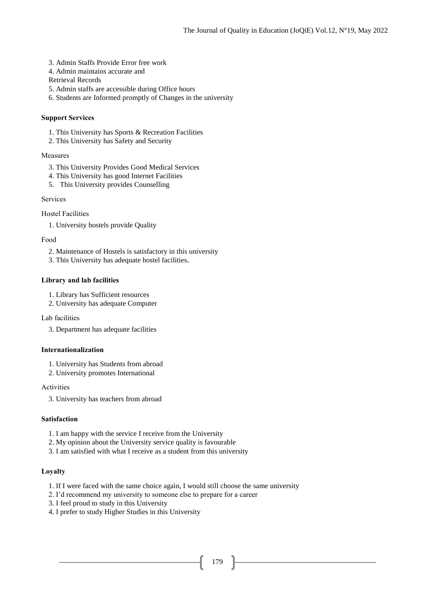- 3. Admin Staffs Provide Error free work
- 4. Admin maintains accurate and

Retrieval Records

- 5. Admin staffs are accessible during Office hours
- 6. Students are Informed promptly of Changes in the university

### **Support Services**

- 1. This University has Sports & Recreation Facilities
- 2. This University has Safety and Security

### Measures

- 3. This University Provides Good Medical Services
- 4. This University has good Internet Facilities
- 5. This University provides Counselling

### Services

Hostel Facilities

1. University hostels provide Quality

### Food

- 2. Maintenance of Hostels is satisfactory in this university
- 3. This University has adequate hostel facilities.

### **Library and lab facilities**

- 1. Library has Sufficient resources
- 2. University has adequate Computer

Lab facilities

3. Department has adequate facilities

### **Internationalization**

- 1. University has Students from abroad
- 2. University promotes International

### Activities

3. University has teachers from abroad

### **Satisfaction**

- 1. I am happy with the service I receive from the University
- 2. My opinion about the University service quality is favourable
- 3. I am satisfied with what I receive as a student from this university

### **Loyalty**

- 1. If I were faced with the same choice again, I would still choose the same university
- 2. I'd recommend my university to someone else to prepare for a career
- 3. I feel proud to study in this University
- 4. I prefer to study Higher Studies in this University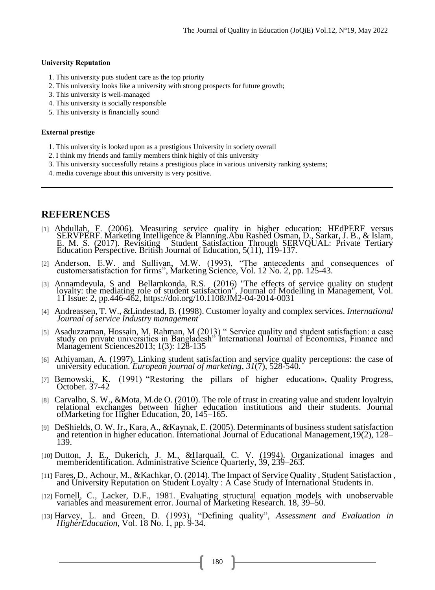### **University Reputation**

- 1. This university puts student care as the top priority
- 2. This university looks like a university with strong prospects for future growth;
- 3. This university is well-managed
- 4. This university is socially responsible
- 5. This university is financially sound

### **External prestige**

- 1. This university is looked upon as a prestigious University in society overall
- 2. I think my friends and family members think highly of this university
- 3. This university successfully retains a prestigious place in various university ranking systems;
- 4. media coverage about this university is very positive.

# **REFERENCES**

- [1] Abdullah, F. (2006). Measuring service quality in higher education: HEdPERF versus SERVPERF. Marketing Intelligence & Planning.Abu Rashed Osman, D., Sarkar, J. B., & Islam, E. M. S. (2017). Revisiting Student Satisfaction Through SERVQUAL: Private Tertiary Education Perspective. British Journal of Education, 5(11), 119-137.
- [2] Anderson, E.W. and Sullivan, M.W. (1993), "The antecedents and consequences of customersatisfaction for firms", Marketing Science, Vol. 12 No. 2, pp. 125-43.
- [3] Annamdevula, S and Bellamkonda, R.S. (2016) "The effects of service quality on student loyalty: the mediating role of student satisfaction", Journal of Modelling in Management, Vol. 11 Issue: 2, pp.446-462,<https://doi.org/10.1108/JM2-04-2014-0031>
- [4] Andreassen, T. W., &Lindestad, B. (1998). Customer loyalty and complex services. *International Journal of service Industry management*
- [5] Asaduzzaman, Hossain, M. Rahman, M (2013) " Service quality and student satisfaction: a case study on private universities in Bangladesh" International Journal of Economics, Finance and Management Sciences2013; 1(3): 128-135
- [6] Athiyaman, A. (1997). Linking student satisfaction and service quality perceptions: the case of university education. *European journal of marketing*, *31*(7), 528-540.
- [7] Bemowski, K. (1991) "Restoring the pillars of higher education», Quality Progress, October. 37-42
- [8] Carvalho, S. W., &Mota, M.de O. (2010). The role of trust in creating value and student loyaltyin relational exchanges between higher education institutions and their students. Journal ofMarketing for Higher Education, 20, 145–165.
- [9] DeShields, O. W. Jr., Kara, A., &Kaynak, E. (2005). Determinants of business student satisfaction and retention in higher education. International Journal of Educational Management,19(2), 128– 139.
- [10] Dutton, J. E., Dukerich, J. M., &Harquail, C. V. (1994). Organizational images and memberidentification. Administrative Science Quarterly, 39, 239–263.
- [11] Fares, D., Achour, M., &Kachkar, O. (2014). The Impact of Service Quality , Student Satisfaction , and University Reputation on Student Loyalty : A Case Study of International Students in.
- [12] Fornell, C., Lacker, D.F., 1981. Evaluating structural equation models with unobservable variables and measurement error. Journal of Marketing Research. 18, 39–50.
- [13] Harvey, L. and Green, D. (1993), "Defining quality", *Assessment and Evaluation in HigherEducation*, Vol. 18 No. 1, pp. 9-34.